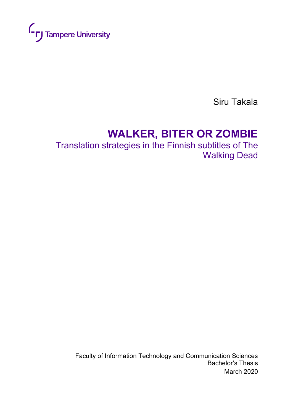

Siru Takala

# **WALKER, BITER OR ZOMBIE**

Translation strategies in the Finnish subtitles of The Walking Dead

Faculty of Information Technology and Communication Sciences Bachelor's Thesis March 2020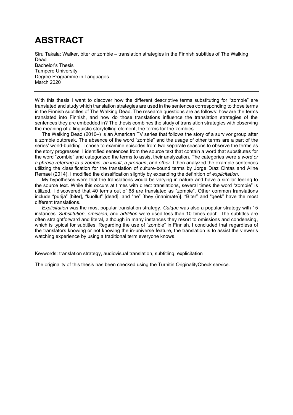## **ABSTRACT**

Siru Takala: Walker, biter or zombie – translation strategies in the Finnish subtitles of The Walking Dead Bachelor's Thesis Tampere University Degree Programme in Languages March 2020

With this thesis I want to discover how the different descriptive terms substituting for "zombie" are translated and study which translation strategies are used in the sentences corresponding to those terms in the Finnish subtitles of The Walking Dead. The research questions are as follows: how are the terms translated into Finnish, and how do those translations influence the translation strategies of the sentences they are embedded in? The thesis combines the study of translation strategies with observing the meaning of a linguistic storytelling element, the terms for the zombies.

The Walking Dead (2010–) is an American TV series that follows the story of a survivor group after a zombie outbreak. The absence of the word "zombie" and the usage of other terms are a part of the series' world-building. I chose to examine episodes from two separate seasons to observe the terms as the story progresses. I identified sentences from the source text that contain a word that substitutes for the word "zombie" and categorized the terms to assist their analyzation. The categories were *a word or a phrase referring to a zombie*, *an insult*, *a pronoun*, and *other*. I then analyzed the example sentences utilizing the classification for the translation of culture-bound terms by Jorge Díaz Cintas and Aline Remael (2014). I modified the classification slightly by expanding the definition of *explicitation*.

My hypotheses were that the translations would be varying in nature and have a similar feeling to the source text. While this occurs at times with direct translations, several times the word "zombie" is utilized. I discovered that 40 terms out of 68 are translated as "zombie". Other common translations include "purija" [biter], "kuollut" [dead], and "ne" [they (inanimate)]. "Biter" and "geek" have the most different translations.

*Explicitation* was the most popular translation strategy. *Calque* was also a popular strategy with 15 instances. *Substitution*, *omission*, and *addition* were used less than 10 times each. The subtitles are often straightforward and literal, although in many instances they resort to omissions and condensing, which is typical for subtitles. Regarding the use of "zombie" in Finnish, I concluded that regardless of the translators knowing or not knowing the in-universe feature, the translation is to assist the viewer's watching experience by using a traditional term everyone knows.

Keywords: translation strategy, audiovisual translation, subtitling, explicitation

The originality of this thesis has been checked using the Turnitin OriginalityCheck service.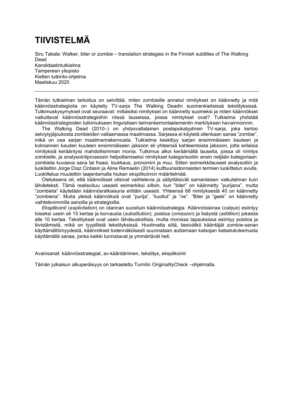## **TIIVISTELMÄ**

Siru Takala: Walker, biter or zombie – translation strategies in the Finnish subtitles of The Walking Dead Kandidaatintutkielma Tampereen yliopisto Kielten tutkinto-ohjelma Maaliskuu 2020

Tämän tutkielman tarkoitus on selvittää, miten zombieille annetut nimitykset on käännetty ja mitä käännösstrategioita on käytetty TV-sarja The Walking Deadin suomenkielisissä tekstityksissä. Tutkimuskysymykset ovat seuraavat: millaisiksi nimitykset on käännetty suomeksi ja miten käännökset vaikuttavat käännösstrategioihin niissä lauseissa, joissa nimitykset ovat? Tutkielma yhdistää käännösstrategioiden tutkimukseen lingvistisen tarinankerrontaelementin merkityksen havainnoinnin.

The Walking Dead (2010–) on yhdysvaltalainen postapokalyptinen TV-sarja, joka kertoo selviytyjäjoukosta zombieiden valtaamassa maailmassa. Sarjassa ei käytetä ollenkaan sanaa "zombie", mikä on osa sarjan maailmanrakennusta. Tutkielma keskittyy sarjan ensimmäiseen kauteen ja kolmannen kauden kuuteen ensimmäiseen jaksoon eli yhteensä kahteentoista jaksoon, jotta erilaisia nimityksiä kerääntyisi mahdollisimman monia. Tutkimus alkoi keräämällä lauseita, joissa oli nimitys zombielle, ja analysointiprosessin helpottamiseksi nimitykset kategorisoitiin ensin neljään kategoriaan: zombieta kuvaava sana tai fraasi, loukkaus, pronomini ja muu. Sitten esimerkkilauseet analysoitiin ja luokiteltiin Jorge Díaz Cintasin ja Aline Remaelin (2014) kulttuurisidonnaisten termien luokittelun avulla. Luokittelua muutettiin laajentamalla hiukan *eksplikoinnin* määritelmää.

Oletuksena oli, että käännökset olisivat vaihtelevia ja säilyttäisivät samanlaisen vaikutelman kuin lähdeteksti. Tämä realisoituu useasti esimerkiksi silloin, kun "biter" on käännetty "purijana", mutta "zombieta" käytetään käännösratkaisuna erittäin useasti. Yhteensä 68 nimityksestä 40 on käännetty "zombiena". Muita yleisiä käännöksiä ovat "purija", "kuollut" ja "ne". "Biter ja "geek" on käännetty vaihtelevimmilla sanoilla ja strategioilla.

*Eksplikointi* (*explicitation*) on otannan suosituin käännösstrategia. *Käännöslainaa* (*calque*) esiintyy toiseksi usein eli 15 kertaa ja korvausta (*substitution*), poistoa (*omission*) ja lisäystä (*addition*) jokaista alle 10 kertaa. Tekstitykset ovat usein lähdeuskollisia, mutta monissa tapauksissa esiintyy poistoa ja tiivistämistä, mikä on tyypillistä tekstityksissä. Huolimatta siitä, tiesivätkö kääntäjät zombie-sanan käyttämättömyydestä, käännökset todennäköisesti suunnataan auttamaan katsojan katselukokemusta käyttämällä sanaa, jonka kaikki tunnistavat ja ymmärtävät heti.

Avainsanat: käännösstrategiat, av-kääntäminen, tekstitys, eksplikointi

Tämän julkaisun alkuperäisyys on tarkastettu Turnitin OriginalityCheck –ohjelmalla.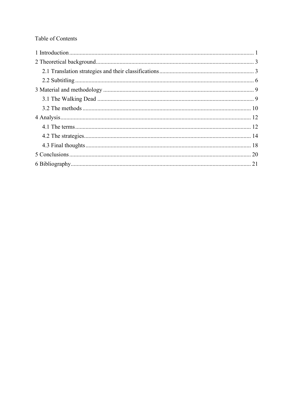## Table of Contents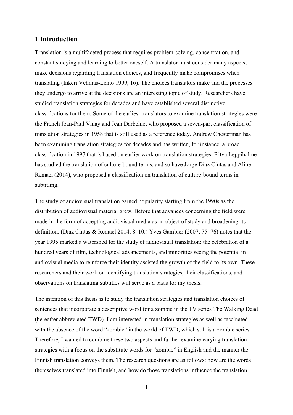## <span id="page-4-0"></span>**1 Introduction**

Translation is a multifaceted process that requires problem-solving, concentration, and constant studying and learning to better oneself. A translator must consider many aspects, make decisions regarding translation choices, and frequently make compromises when translating (Inkeri Vehmas-Lehto 1999, 16). The choices translators make and the processes they undergo to arrive at the decisions are an interesting topic of study. Researchers have studied translation strategies for decades and have established several distinctive classifications for them. Some of the earliest translators to examine translation strategies were the French Jean-Paul Vinay and Jean Darbelnet who proposed a seven-part classification of translation strategies in 1958 that is still used as a reference today. Andrew Chesterman has been examining translation strategies for decades and has written, for instance, a broad classification in 1997 that is based on earlier work on translation strategies. Ritva Leppihalme has studied the translation of culture-bound terms, and so have Jorge Díaz Cintas and Aline Remael (2014), who proposed a classification on translation of culture-bound terms in subtitling.

The study of audiovisual translation gained popularity starting from the 1990s as the distribution of audiovisual material grew. Before that advances concerning the field were made in the form of accepting audiovisual media as an object of study and broadening its definition. (Díaz Cintas & Remael 2014, 8–10.) Yves Gambier (2007, 75–76) notes that the year 1995 marked a watershed for the study of audiovisual translation: the celebration of a hundred years of film, technological advancements, and minorities seeing the potential in audiovisual media to reinforce their identity assisted the growth of the field to its own. These researchers and their work on identifying translation strategies, their classifications, and observations on translating subtitles will serve as a basis for my thesis.

The intention of this thesis is to study the translation strategies and translation choices of sentences that incorporate a descriptive word for a zombie in the TV series The Walking Dead (hereafter abbreviated TWD). I am interested in translation strategies as well as fascinated with the absence of the word "zombie" in the world of TWD, which still is a zombie series. Therefore, I wanted to combine these two aspects and further examine varying translation strategies with a focus on the substitute words for "zombie" in English and the manner the Finnish translation conveys them. The research questions are as follows: how are the words themselves translated into Finnish, and how do those translations influence the translation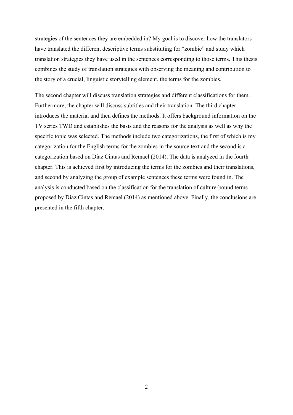strategies of the sentences they are embedded in? My goal is to discover how the translators have translated the different descriptive terms substituting for "zombie" and study which translation strategies they have used in the sentences corresponding to those terms. This thesis combines the study of translation strategies with observing the meaning and contribution to the story of a crucial, linguistic storytelling element, the terms for the zombies.

The second chapter will discuss translation strategies and different classifications for them. Furthermore, the chapter will discuss subtitles and their translation. The third chapter introduces the material and then defines the methods. It offers background information on the TV series TWD and establishes the basis and the reasons for the analysis as well as why the specific topic was selected. The methods include two categorizations, the first of which is my categorization for the English terms for the zombies in the source text and the second is a categorization based on Díaz Cintas and Remael (2014). The data is analyzed in the fourth chapter. This is achieved first by introducing the terms for the zombies and their translations, and second by analyzing the group of example sentences these terms were found in. The analysis is conducted based on the classification for the translation of culture-bound terms proposed by Díaz Cintas and Remael (2014) as mentioned above. Finally, the conclusions are presented in the fifth chapter.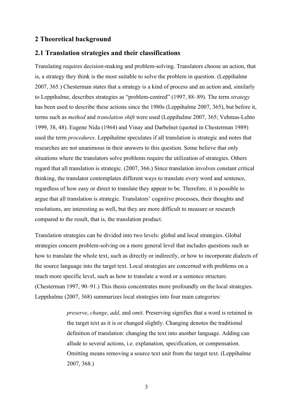## <span id="page-6-0"></span>**2 Theoretical background**

## <span id="page-6-1"></span>**2.1 Translation strategies and their classifications**

Translating requires decision-making and problem-solving. Translators choose an action, that is, a strategy they think is the most suitable to solve the problem in question. (Leppihalme 2007, 365.) Chesterman states that a strategy is a kind of process and an action and, similarly to Leppihalme, describes strategies as "problem-centred" (1997, 88–89). The term *strategy* has been used to describe these actions since the 1980s (Leppihalme 2007, 365), but before it, terms such as *method* and *translation shift* were used (Leppihalme 2007, 365; Vehmas-Lehto 1999, 38, 48). Eugene Nida (1964) and Vinay and Darbelnet (quoted in Chesterman 1989) used the term *procedures*. Leppihalme speculates if all translation is strategic and notes that researches are not unanimous in their answers to this question. Some believe that only situations where the translators solve problems require the utilization of strategies. Others regard that all translation is strategic. (2007, 366.) Since translation involves constant critical thinking, the translator contemplates different ways to translate every word and sentence, regardless of how easy or direct to translate they appear to be. Therefore, it is possible to argue that all translation is strategic. Translators' cognitive processes, their thoughts and resolutions, are interesting as well, but they are more difficult to measure or research compared to the result, that is, the translation product.

Translation strategies can be divided into two levels: global and local strategies. Global strategies concern problem-solving on a more general level that includes questions such as how to translate the whole text, such as directly or indirectly, or how to incorporate dialects of the source language into the target text. Local strategies are concerned with problems on a much more specific level, such as how to translate a word or a sentence structure. (Chesterman 1997, 90–91.) This thesis concentrates more profoundly on the local strategies. Leppihalme (2007, 368) summarizes local strategies into four main categories:

> *preserve*, *change*, *add*, and *omit*. Preserving signifies that a word is retained in the target text as it is or changed slightly. Changing denotes the traditional definition of translation: changing the text into another language. Adding can allude to several actions, i.e. explanation, specification, or compensation. Omitting means removing a source text unit from the target text. (Leppihalme 2007, 368.)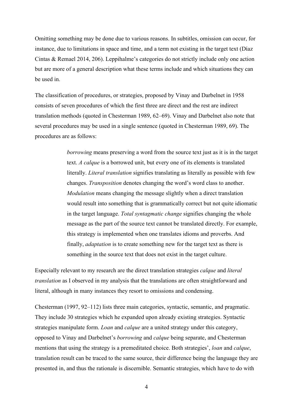Omitting something may be done due to various reasons. In subtitles, omission can occur, for instance, due to limitations in space and time, and a term not existing in the target text (Díaz Cintas & Remael 2014, 206). Leppihalme's categories do not strictly include only one action but are more of a general description what these terms include and which situations they can be used in.

The classification of procedures, or strategies, proposed by Vinay and Darbelnet in 1958 consists of seven procedures of which the first three are direct and the rest are indirect translation methods (quoted in Chesterman 1989, 62–69). Vinay and Darbelnet also note that several procedures may be used in a single sentence (quoted in Chesterman 1989, 69). The procedures are as follows:

> *borrowing* means preserving a word from the source text just as it is in the target text. *A calque* is a borrowed unit, but every one of its elements is translated literally. *Literal translation* signifies translating as literally as possible with few changes. *Transposition* denotes changing the word's word class to another. *Modulation* means changing the message slightly when a direct translation would result into something that is grammatically correct but not quite idiomatic in the target language. *Total syntagmatic change* signifies changing the whole message as the part of the source text cannot be translated directly. For example, this strategy is implemented when one translates idioms and proverbs. And finally, *adaptation* is to create something new for the target text as there is something in the source text that does not exist in the target culture.

Especially relevant to my research are the direct translation strategies *calque* and *literal translation* as I observed in my analysis that the translations are often straightforward and literal, although in many instances they resort to omissions and condensing.

Chesterman (1997, 92–112) lists three main categories, syntactic, semantic, and pragmatic. They include 30 strategies which he expanded upon already existing strategies. Syntactic strategies manipulate form. *Loan* and *calque* are a united strategy under this category, opposed to Vinay and Darbelnet's *borrowing* and *calque* being separate, and Chesterman mentions that using the strategy is a premeditated choice. Both strategies', *loan* and *calque*, translation result can be traced to the same source, their difference being the language they are presented in, and thus the rationale is discernible. Semantic strategies, which have to do with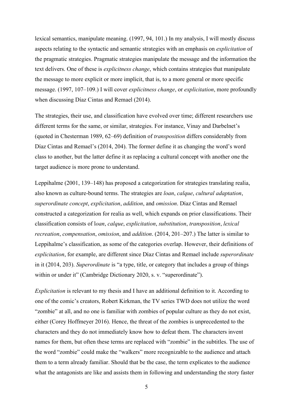lexical semantics, manipulate meaning. (1997, 94, 101.) In my analysis, I will mostly discuss aspects relating to the syntactic and semantic strategies with an emphasis on *explicitation* of the pragmatic strategies. Pragmatic strategies manipulate the message and the information the text delivers. One of these is *explicitness change*, which contains strategies that manipulate the message to more explicit or more implicit, that is, to a more general or more specific message. (1997, 107–109.) I will cover *explicitness change*, or *explicitation*, more profoundly when discussing Díaz Cintas and Remael (2014).

The strategies, their use, and classification have evolved over time; different researchers use different terms for the same, or similar, strategies. For instance, Vinay and Darbelnet's (quoted in Chesterman 1989, 62–69) definition of *transposition* differs considerably from Díaz Cintas and Remael's (2014, 204). The former define it as changing the word's word class to another, but the latter define it as replacing a cultural concept with another one the target audience is more prone to understand.

Leppihalme (2001, 139–148) has proposed a categorization for strategies translating realia, also known as culture-bound terms. The strategies are *loan*, *calque*, *cultural adaptation*, *superordinate concept*, *explicitation*, *addition*, and *omission*. Díaz Cintas and Remael constructed a categorization for realia as well, which expands on prior classifications. Their classification consists of l*oan*, *calque*, *explicitation*, *substitution*, *transposition*, *lexical recreation*, *compensation*, *omission*, and *addition*. (2014, 201–207.) The latter is similar to Leppihalme's classification, as some of the categories overlap. However, their definitions of *explicitation*, for example, are different since Díaz Cintas and Remael include *superordinate* in it (2014, 203). *Superordinate* is "a type, title, or category that includes a group of things within or under it" (Cambridge Dictionary 2020, s. v. "superordinate").

*Explicitation* is relevant to my thesis and I have an additional definition to it. According to one of the comic's creators, Robert Kirkman, the TV series TWD does not utilize the word "zombie" at all, and no one is familiar with zombies of popular culture as they do not exist, either (Corey Hoffmeyer 2016). Hence, the threat of the zombies is unprecedented to the characters and they do not immediately know how to defeat them. The characters invent names for them, but often these terms are replaced with "zombie" in the subtitles. The use of the word "zombie" could make the "walkers" more recognizable to the audience and attach them to a term already familiar. Should that be the case, the term explicates to the audience what the antagonists are like and assists them in following and understanding the story faster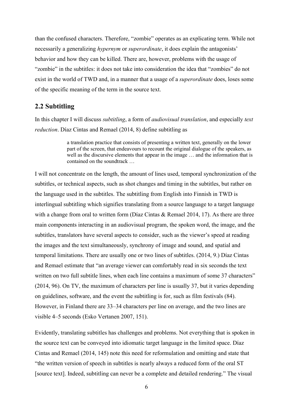than the confused characters. Therefore, "zombie" operates as an explicating term. While not necessarily a generalizing *hypernym* or *superordinate*, it does explain the antagonists' behavior and how they can be killed. There are, however, problems with the usage of "zombie" in the subtitles: it does not take into consideration the idea that "zombies" do not exist in the world of TWD and, in a manner that a usage of a *superordinate* does, loses some of the specific meaning of the term in the source text.

## <span id="page-9-0"></span>**2.2 Subtitling**

In this chapter I will discuss *subtitling*, a form of *audiovisual translation*, and especially *text reduction*. Díaz Cintas and Remael (2014, 8) define subtitling as

> a translation practice that consists of presenting a written text, generally on the lower part of the screen, that endeavours to recount the original dialogue of the speakers, as well as the discursive elements that appear in the image … and the information that is contained on the soundtrack …

I will not concentrate on the length, the amount of lines used, temporal synchronization of the subtitles, or technical aspects, such as shot changes and timing in the subtitles, but rather on the language used in the subtitles. The subtitling from English into Finnish in TWD is interlingual subtitling which signifies translating from a source language to a target language with a change from oral to written form (Díaz Cintas & Remael 2014, 17). As there are three main components interacting in an audiovisual program, the spoken word, the image, and the subtitles, translators have several aspects to consider, such as the viewer's speed at reading the images and the text simultaneously, synchrony of image and sound, and spatial and temporal limitations. There are usually one or two lines of subtitles. (2014, 9.) Díaz Cintas and Remael estimate that "an average viewer can comfortably read in six seconds the text written on two full subtitle lines, when each line contains a maximum of some 37 characters" (2014, 96). On TV, the maximum of characters per line is usually 37, but it varies depending on guidelines, software, and the event the subtitling is for, such as film festivals (84). However, in Finland there are 33–34 characters per line on average, and the two lines are visible 4–5 seconds (Esko Vertanen 2007, 151).

Evidently, translating subtitles has challenges and problems. Not everything that is spoken in the source text can be conveyed into idiomatic target language in the limited space. Díaz Cintas and Remael (2014, 145) note this need for reformulation and omitting and state that "the written version of speech in subtitles is nearly always a reduced form of the oral ST [source text]. Indeed, subtitling can never be a complete and detailed rendering." The visual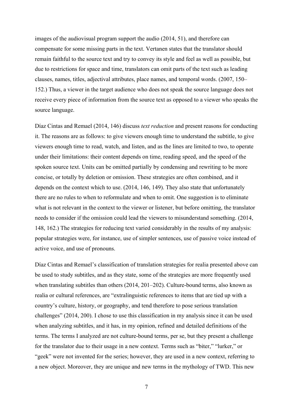images of the audiovisual program support the audio (2014, 51), and therefore can compensate for some missing parts in the text. Vertanen states that the translator should remain faithful to the source text and try to convey its style and feel as well as possible, but due to restrictions for space and time, translators can omit parts of the text such as leading clauses, names, titles, adjectival attributes, place names, and temporal words. (2007, 150– 152.) Thus, a viewer in the target audience who does not speak the source language does not receive every piece of information from the source text as opposed to a viewer who speaks the source language.

Díaz Cintas and Remael (2014, 146) discuss *text reduction* and present reasons for conducting it. The reasons are as follows: to give viewers enough time to understand the subtitle, to give viewers enough time to read, watch, and listen, and as the lines are limited to two, to operate under their limitations: their content depends on time, reading speed, and the speed of the spoken source text. Units can be omitted partially by condensing and rewriting to be more concise, or totally by deletion or omission. These strategies are often combined, and it depends on the context which to use. (2014, 146, 149). They also state that unfortunately there are no rules to when to reformulate and when to omit. One suggestion is to eliminate what is not relevant in the context to the viewer or listener, but before omitting, the translator needs to consider if the omission could lead the viewers to misunderstand something. (2014, 148, 162.) The strategies for reducing text varied considerably in the results of my analysis: popular strategies were, for instance, use of simpler sentences, use of passive voice instead of active voice, and use of pronouns.

Díaz Cintas and Remael's classification of translation strategies for realia presented above can be used to study subtitles, and as they state, some of the strategies are more frequently used when translating subtitles than others (2014, 201–202). Culture-bound terms, also known as realia or cultural references, are "extralinguistic references to items that are tied up with a country's culture, history, or geography, and tend therefore to pose serious translation challenges" (2014, 200). I chose to use this classification in my analysis since it can be used when analyzing subtitles, and it has, in my opinion, refined and detailed definitions of the terms. The terms I analyzed are not culture-bound terms, per se, but they present a challenge for the translator due to their usage in a new context. Terms such as "biter," "lurker," or "geek" were not invented for the series; however, they are used in a new context, referring to a new object. Moreover, they are unique and new terms in the mythology of TWD. This new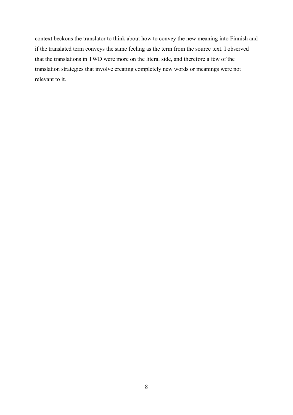context beckons the translator to think about how to convey the new meaning into Finnish and if the translated term conveys the same feeling as the term from the source text. I observed that the translations in TWD were more on the literal side, and therefore a few of the translation strategies that involve creating completely new words or meanings were not relevant to it.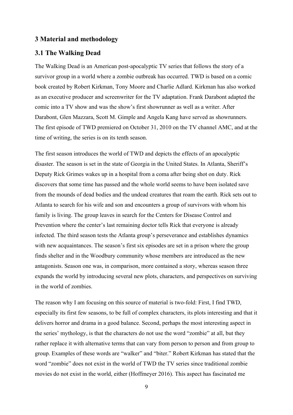## <span id="page-12-1"></span><span id="page-12-0"></span>**3 Material and methodology**

## **3.1 The Walking Dead**

The Walking Dead is an American post-apocalyptic TV series that follows the story of a survivor group in a world where a zombie outbreak has occurred. TWD is based on a comic book created by Robert Kirkman, Tony Moore and Charlie Adlard. Kirkman has also worked as an executive producer and screenwriter for the TV adaptation. Frank Darabont adapted the comic into a TV show and was the show's first showrunner as well as a writer. After Darabont, Glen Mazzara, Scott M. Gimple and Angela Kang have served as showrunners. The first episode of TWD premiered on October 31, 2010 on the TV channel AMC, and at the time of writing, the series is on its tenth season.

The first season introduces the world of TWD and depicts the effects of an apocalyptic disaster. The season is set in the state of Georgia in the United States. In Atlanta, Sheriff's Deputy Rick Grimes wakes up in a hospital from a coma after being shot on duty. Rick discovers that some time has passed and the whole world seems to have been isolated save from the mounds of dead bodies and the undead creatures that roam the earth. Rick sets out to Atlanta to search for his wife and son and encounters a group of survivors with whom his family is living. The group leaves in search for the Centers for Disease Control and Prevention where the center's last remaining doctor tells Rick that everyone is already infected. The third season tests the Atlanta group's perseverance and establishes dynamics with new acquaintances. The season's first six episodes are set in a prison where the group finds shelter and in the Woodbury community whose members are introduced as the new antagonists. Season one was, in comparison, more contained a story, whereas season three expands the world by introducing several new plots, characters, and perspectives on surviving in the world of zombies.

The reason why I am focusing on this source of material is two-fold: First, I find TWD, especially its first few seasons, to be full of complex characters, its plots interesting and that it delivers horror and drama in a good balance. Second, perhaps the most interesting aspect in the series' mythology, is that the characters do not use the word "zombie" at all, but they rather replace it with alternative terms that can vary from person to person and from group to group. Examples of these words are "walker" and "biter." Robert Kirkman has stated that the word "zombie" does not exist in the world of TWD the TV series since traditional zombie movies do not exist in the world, either (Hoffmeyer 2016). This aspect has fascinated me

 $\overline{Q}$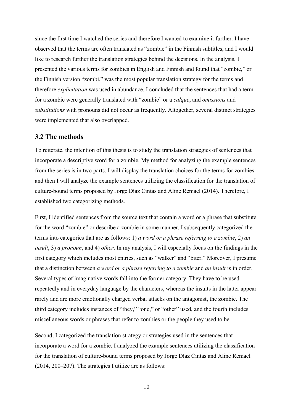since the first time I watched the series and therefore I wanted to examine it further. I have observed that the terms are often translated as "zombie" in the Finnish subtitles, and I would like to research further the translation strategies behind the decisions. In the analysis, I presented the various terms for zombies in English and Finnish and found that "zombie," or the Finnish version "zombi," was the most popular translation strategy for the terms and therefore *explicitation* was used in abundance. I concluded that the sentences that had a term for a zombie were generally translated with "zombie" or a *calque*, and *omissions* and *substitutions* with pronouns did not occur as frequently. Altogether, several distinct strategies were implemented that also overlapped.

#### <span id="page-13-0"></span>**3.2 The methods**

To reiterate, the intention of this thesis is to study the translation strategies of sentences that incorporate a descriptive word for a zombie. My method for analyzing the example sentences from the series is in two parts. I will display the translation choices for the terms for zombies and then I will analyze the example sentences utilizing the classification for the translation of culture-bound terms proposed by Jorge Díaz Cintas and Aline Remael (2014). Therefore, I established two categorizing methods.

First, I identified sentences from the source text that contain a word or a phrase that substitute for the word "zombie" or describe a zombie in some manner. I subsequently categorized the terms into categories that are as follows: 1) *a word or a phrase referring to a zombie*, 2) *an insult*, 3) *a pronoun*, and 4) *other*. In my analysis, I will especially focus on the findings in the first category which includes most entries, such as "walker" and "biter." Moreover, I presume that a distinction between *a word or a phrase referring to a zombie* and *an insult* is in order. Several types of imaginative words fall into the former category. They have to be used repeatedly and in everyday language by the characters, whereas the insults in the latter appear rarely and are more emotionally charged verbal attacks on the antagonist, the zombie. The third category includes instances of "they," "one," or "other" used, and the fourth includes miscellaneous words or phrases that refer to zombies or the people they used to be.

Second, I categorized the translation strategy or strategies used in the sentences that incorporate a word for a zombie. I analyzed the example sentences utilizing the classification for the translation of culture-bound terms proposed by Jorge Díaz Cintas and Aline Remael (2014, 200–207). The strategies I utilize are as follows: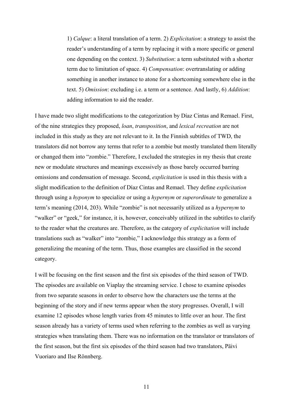1) *Calque*: a literal translation of a term. 2) *Explicitation*: a strategy to assist the reader's understanding of a term by replacing it with a more specific or general one depending on the context. 3) *Substitution*: a term substituted with a shorter term due to limitation of space. 4) *Compensation*: overtranslating or adding something in another instance to atone for a shortcoming somewhere else in the text. 5) *Omission*: excluding i.e. a term or a sentence. And lastly, 6) *Addition*: adding information to aid the reader.

I have made two slight modifications to the categorization by Díaz Cintas and Remael. First, of the nine strategies they proposed, *loan*, *transposition*, and *lexical recreation* are not included in this study as they are not relevant to it. In the Finnish subtitles of TWD, the translators did not borrow any terms that refer to a zombie but mostly translated them literally or changed them into "zombie." Therefore, I excluded the strategies in my thesis that create new or modulate structures and meanings excessively as those barely occurred barring omissions and condensation of message. Second, *explicitation* is used in this thesis with a slight modification to the definition of Díaz Cintas and Remael. They define *explicitation* through using a *hyponym* to specialize or using a *hypernym* or *superordinate* to generalize a term's meaning (2014, 203). While "zombie" is not necessarily utilized as a *hypernym* to "walker" or "geek," for instance, it is, however, conceivably utilized in the subtitles to clarify to the reader what the creatures are. Therefore, as the category of *explicitation* will include translations such as "walker" into "zombie," I acknowledge this strategy as a form of generalizing the meaning of the term. Thus, those examples are classified in the second category.

I will be focusing on the first season and the first six episodes of the third season of TWD. The episodes are available on Viaplay the streaming service. I chose to examine episodes from two separate seasons in order to observe how the characters use the terms at the beginning of the story and if new terms appear when the story progresses. Overall, I will examine 12 episodes whose length varies from 45 minutes to little over an hour. The first season already has a variety of terms used when referring to the zombies as well as varying strategies when translating them. There was no information on the translator or translators of the first season, but the first six episodes of the third season had two translators, Päivi Vuoriaro and Ilse Rönnberg.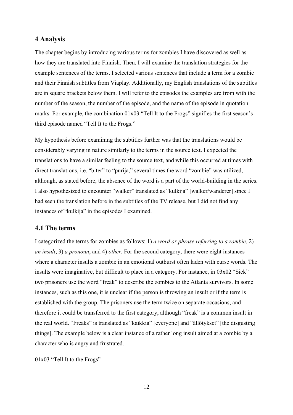## <span id="page-15-0"></span>**4 Analysis**

The chapter begins by introducing various terms for zombies I have discovered as well as how they are translated into Finnish. Then, I will examine the translation strategies for the example sentences of the terms. I selected various sentences that include a term for a zombie and their Finnish subtitles from Viaplay. Additionally, my English translations of the subtitles are in square brackets below them. I will refer to the episodes the examples are from with the number of the season, the number of the episode, and the name of the episode in quotation marks. For example, the combination 01x03 "Tell It to the Frogs" signifies the first season's third episode named "Tell It to the Frogs."

My hypothesis before examining the subtitles further was that the translations would be considerably varying in nature similarly to the terms in the source text. I expected the translations to have a similar feeling to the source text, and while this occurred at times with direct translations, i.e. "biter" to "purija," several times the word "zombie" was utilized, although, as stated before, the absence of the word is a part of the world-building in the series. I also hypothesized to encounter "walker" translated as "kulkija" [walker/wanderer] since I had seen the translation before in the subtitles of the TV release, but I did not find any instances of "kulkija" in the episodes I examined.

## <span id="page-15-1"></span>**4.1 The terms**

I categorized the terms for zombies as follows: 1) *a word or phrase referring to a zombie*, 2) *an insult*, 3) *a pronoun*, and 4) *other*. For the second category, there were eight instances where a character insults a zombie in an emotional outburst often laden with curse words. The insults were imaginative, but difficult to place in a category. For instance, in 03x02 "Sick" two prisoners use the word "freak" to describe the zombies to the Atlanta survivors. In some instances, such as this one, it is unclear if the person is throwing an insult or if the term is established with the group. The prisoners use the term twice on separate occasions, and therefore it could be transferred to the first category, although "freak" is a common insult in the real world. "Freaks" is translated as "kaikkia" [everyone] and "ällötykset" [the disgusting things]. The example below is a clear instance of a rather long insult aimed at a zombie by a character who is angry and frustrated.

01x03 "Tell It to the Frogs"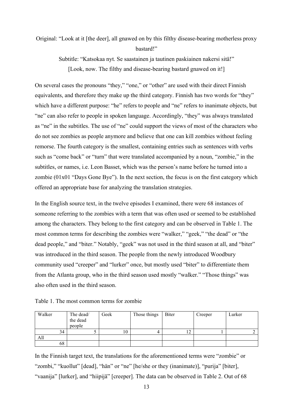## Original: "Look at it [the deer], all gnawed on by this filthy disease-bearing motherless proxy bastard!"

Subtitle: "Katsokaa nyt. Se saastainen ja tautinen paskiainen nakersi sitä!" [Look, now. The filthy and disease-bearing bastard gnawed on it!]

On several cases the pronouns "they," "one," or "other" are used with their direct Finnish equivalents, and therefore they make up the third category. Finnish has two words for "they" which have a different purpose: "he" refers to people and "ne" refers to inanimate objects, but "ne" can also refer to people in spoken language. Accordingly, "they" was always translated as "ne" in the subtitles. The use of "ne" could support the views of most of the characters who do not see zombies as people anymore and believe that one can kill zombies without feeling remorse. The fourth category is the smallest, containing entries such as sentences with verbs such as "come back" or "turn" that were translated accompanied by a noun, "zombie," in the subtitles, or names, i.e. Leon Basset, which was the person's name before he turned into a zombie (01x01 "Days Gone Bye"). In the next section, the focus is on the first category which offered an appropriate base for analyzing the translation strategies.

In the English source text, in the twelve episodes I examined, there were 68 instances of someone referring to the zombies with a term that was often used or seemed to be established among the characters. They belong to the first category and can be observed in Table 1. The most common terms for describing the zombies were "walker," "geek," "the dead" or "the dead people," and "biter." Notably, "geek" was not used in the third season at all, and "biter" was introduced in the third season. The people from the newly introduced Woodbury community used "creeper" and "lurker" once, but mostly used "biter" to differentiate them from the Atlanta group, who in the third season used mostly "walker." "Those things" was also often used in the third season.

Table 1. The most common terms for zombie

| Walker | The dead/<br>the dead<br>people | Geek | Those things | Biter | Creeper | Lurker |
|--------|---------------------------------|------|--------------|-------|---------|--------|
| 34     |                                 | 10   |              | -     |         |        |
| All    |                                 |      |              |       |         |        |
| 68     |                                 |      |              |       |         |        |

In the Finnish target text, the translations for the aforementioned terms were "zombie" or "zombi," "kuollut" [dead], "hän" or "ne" [he/she or they (inanimate)], "purija" [biter], "vaanija" [lurker], and "hiipijä" [creeper]. The data can be observed in Table 2. Out of 68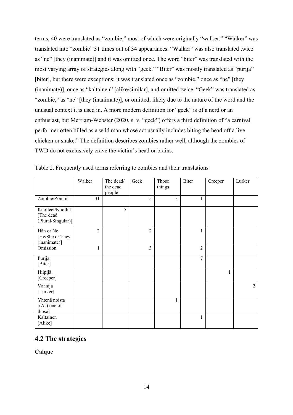terms, 40 were translated as "zombie," most of which were originally "walker." "Walker" was translated into "zombie" 31 times out of 34 appearances. "Walker" was also translated twice as "ne" [they (inanimate)] and it was omitted once. The word "biter" was translated with the most varying array of strategies along with "geek." "Biter" was mostly translated as "purija" [biter], but there were exceptions: it was translated once as "zombie," once as "ne" [they (inanimate)], once as "kaltainen" [alike/similar], and omitted twice. "Geek" was translated as "zombie," as "ne" [they (inanimate)], or omitted, likely due to the nature of the word and the unusual context it is used in. A more modern definition for "geek" is of a nerd or an enthusiast, but Merriam-Webster (2020, s. v. "geek") offers a third definition of "a carnival performer often billed as a wild man whose act usually includes biting the head off a live chicken or snake." The definition describes zombies rather well, although the zombies of TWD do not exclusively crave the victim's head or brains.

|                                                     | Walker         | The dead/<br>the dead<br>people | Geek           | Those<br>things | Biter          | Creeper | Lurker         |
|-----------------------------------------------------|----------------|---------------------------------|----------------|-----------------|----------------|---------|----------------|
| Zombie/Zombi                                        | 31             |                                 | 5              | 3               | 1              |         |                |
| Kuolleet/Kuollut<br>[The dead<br>(Plural/Singular)] |                | 5                               |                |                 |                |         |                |
| Hän or Ne<br>[He/She or They<br>(inanimate)]        | $\overline{2}$ |                                 | $\overline{2}$ |                 | 1              |         |                |
| Omission                                            | 1              |                                 | 3              |                 | $\overline{2}$ |         |                |
| Purija<br>[Biter]                                   |                |                                 |                |                 | $\overline{7}$ |         |                |
| Hiipijä<br>[Creeper]                                |                |                                 |                |                 |                | 1       |                |
| Vaanija<br>[Lurker]                                 |                |                                 |                |                 |                |         | $\overline{2}$ |
| Yhtenä noista<br>$[(As)$ one of<br>those]           |                |                                 |                | 1               |                |         |                |
| Kaltainen<br>[Alike]                                |                |                                 |                |                 | 1              |         |                |

Table 2. Frequently used terms referring to zombies and their translations

## <span id="page-17-0"></span>**4.2 The strategies**

**Calque**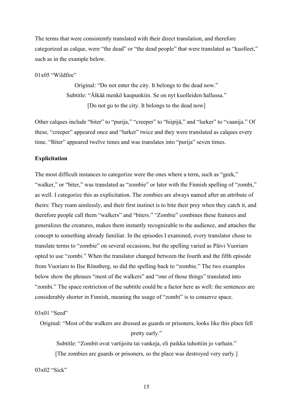The terms that were consistently translated with their direct translation, and therefore categorized as calque, were "the dead" or "the dead people" that were translated as "kuolleet," such as in the example below.

#### $01x05$  "Wildfire"

Original: "Do not enter the city. It belongs to the dead now." Subtitle: "Älkää menkö kaupunkiin. Se on nyt kuolleiden hallussa." [Do not go to the city. It belongs to the dead now]

Other calques include "biter" to "purija," "creeper" to "hiipijä," and "lurker" to "vaanija." Of these, "creeper" appeared once and "lurker" twice and they were translated as calques every time. "Biter" appeared twelve times and was translates into "purija" seven times.

#### **Explicitation**

The most difficult instances to categorize were the ones where a term, such as "geek," "walker," or "biter," was translated as "zombie" or later with the Finnish spelling of "zombi," as well. I categorize this as explicitation. The zombies are always named after an attribute of theirs: They roam aimlessly, and their first instinct is to bite their prey when they catch it, and therefore people call them "walkers" and "biters." "Zombie" combines these features and generalizes the creatures, makes them instantly recognizable to the audience, and attaches the concept to something already familiar. In the episodes I examined, every translator chose to translate terms to "zombie" on several occasions, but the spelling varied as Päivi Vuoriaro opted to use "zombi." When the translator changed between the fourth and the fifth episode from Vuoriaro to Ilse Rönnberg, so did the spelling back to "zombie." The two examples below show the phrases "most of the walkers" and "one of those things" translated into "zombi." The space restriction of the subtitle could be a factor here as well: the sentences are considerably shorter in Finnish, meaning the usage of "zombi" is to conserve space.

03x01 "Seed"

Original: "Most of the walkers are dressed as guards or prisoners, looks like this place fell pretty early."

Subtitle: "Zombit ovat vartijoita tai vankeja, eli paikka tuhottiin jo varhain." [The zombies are guards or prisoners, so the place was destroyed very early.]

03x02 "Sick"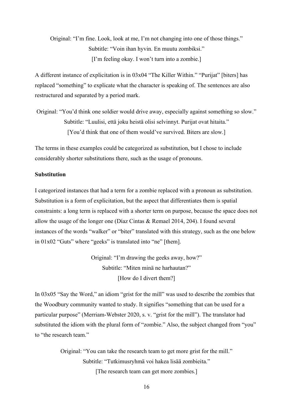Original: "I'm fine. Look, look at me, I'm not changing into one of those things." Subtitle: "Voin ihan hyvin. En muutu zombiksi." [I'm feeling okay. I won't turn into a zombie.]

A different instance of explicitation is in 03x04 "The Killer Within." "Purijat" [biters] has replaced "something" to explicate what the character is speaking of. The sentences are also restructured and separated by a period mark.

Original: "You'd think one soldier would drive away, especially against something so slow." Subtitle: "Luulisi, että joku heistä olisi selvinnyt. Purijat ovat hitaita." [You'd think that one of them would've survived. Biters are slow.]

The terms in these examples could be categorized as substitution, but I chose to include considerably shorter substitutions there, such as the usage of pronouns.

#### **Substitution**

I categorized instances that had a term for a zombie replaced with a pronoun as substitution. Substitution is a form of explicitation, but the aspect that differentiates them is spatial constraints: a long term is replaced with a shorter term on purpose, because the space does not allow the usage of the longer one (Díaz Cintas & Remael 2014, 204). I found several instances of the words "walker" or "biter" translated with this strategy, such as the one below in 01x02 "Guts" where "geeks" is translated into "ne" [them].

> Original: "I'm drawing the geeks away, how?" Subtitle: "Miten minä ne harhautan?" [How do I divert them?]

In 03x05 "Say the Word," an idiom "grist for the mill" was used to describe the zombies that the Woodbury community wanted to study. It signifies "something that can be used for a particular purpose" (Merriam-Webster 2020, s. v. "grist for the mill"). The translator had substituted the idiom with the plural form of "zombie." Also, the subject changed from "you" to "the research team."

> Original: "You can take the research team to get more grist for the mill." Subtitle: "Tutkimusryhmä voi hakea lisää zombieita." [The research team can get more zombies.]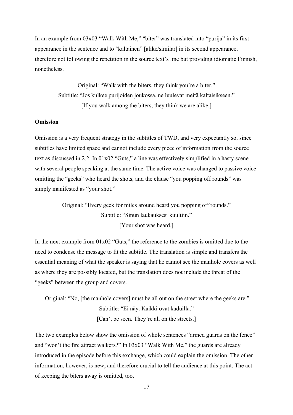In an example from 03x03 "Walk With Me," "biter" was translated into "purija" in its first appearance in the sentence and to "kaltainen" [alike/similar] in its second appearance, therefore not following the repetition in the source text's line but providing idiomatic Finnish, nonetheless.

> Original: "Walk with the biters, they think you're a biter." Subtitle: "Jos kulkee purijoiden joukossa, ne luulevat meitä kaltaisikseen." [If you walk among the biters, they think we are alike.]

#### **Omission**

Omission is a very frequent strategy in the subtitles of TWD, and very expectantly so, since subtitles have limited space and cannot include every piece of information from the source text as discussed in 2.2. In 01x02 "Guts," a line was effectively simplified in a hasty scene with several people speaking at the same time. The active voice was changed to passive voice omitting the "geeks" who heard the shots, and the clause "you popping off rounds" was simply manifested as "your shot."

> Original: "Every geek for miles around heard you popping off rounds." Subtitle: "Sinun laukauksesi kuultiin." [Your shot was heard.]

In the next example from  $01x02$  "Guts," the reference to the zombies is omitted due to the need to condense the message to fit the subtitle. The translation is simple and transfers the essential meaning of what the speaker is saying that he cannot see the manhole covers as well as where they are possibly located, but the translation does not include the threat of the "geeks" between the group and covers.

Original: "No, [the manhole covers] must be all out on the street where the geeks are." Subtitle: "Ei näy. Kaikki ovat kaduilla." [Can't be seen. They're all on the streets.]

The two examples below show the omission of whole sentences "armed guards on the fence" and "won't the fire attract walkers?" In 03x03 "Walk With Me," the guards are already introduced in the episode before this exchange, which could explain the omission. The other information, however, is new, and therefore crucial to tell the audience at this point. The act of keeping the biters away is omitted, too.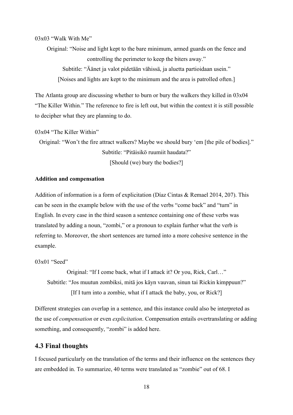03x03 "Walk With Me"

Original: "Noise and light kept to the bare minimum, armed guards on the fence and controlling the perimeter to keep the biters away."

Subtitle: "Äänet ja valot pidetään vähissä, ja aluetta partioidaan usein." [Noises and lights are kept to the minimum and the area is patrolled often.]

The Atlanta group are discussing whether to burn or bury the walkers they killed in 03x04 "The Killer Within." The reference to fire is left out, but within the context it is still possible to decipher what they are planning to do.

03x04 "The Killer Within"

Original: "Won't the fire attract walkers? Maybe we should bury 'em [the pile of bodies]." Subtitle: "Pitäisikö ruumiit haudata?" [Should (we) bury the bodies?]

#### **Addition and compensation**

Addition of information is a form of explicitation (Díaz Cintas & Remael 2014, 207). This can be seen in the example below with the use of the verbs "come back" and "turn" in English. In every case in the third season a sentence containing one of these verbs was translated by adding a noun, "zombi," or a pronoun to explain further what the verb is referring to. Moreover, the short sentences are turned into a more cohesive sentence in the example.

03x01 "Seed"

Original: "If I come back, what if I attack it? Or you, Rick, Carl…" Subtitle: "Jos muutun zombiksi, mitä jos käyn vauvan, sinun tai Rickin kimppuun?" [If I turn into a zombie, what if I attack the baby, you, or Rick?]

Different strategies can overlap in a sentence, and this instance could also be interpreted as the use of *compensation* or even *explicitation*. Compensation entails overtranslating or adding something, and consequently, "zombi" is added here.

## <span id="page-21-0"></span>**4.3 Final thoughts**

I focused particularly on the translation of the terms and their influence on the sentences they are embedded in. To summarize, 40 terms were translated as "zombie" out of 68. I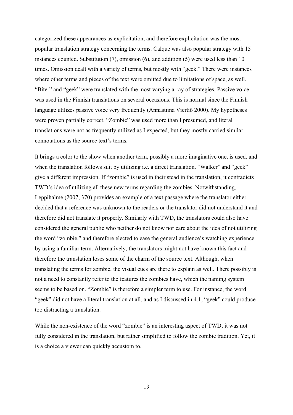categorized these appearances as explicitation, and therefore explicitation was the most popular translation strategy concerning the terms. Calque was also popular strategy with 15 instances counted. Substitution (7), omission (6), and addition (5) were used less than 10 times. Omission dealt with a variety of terms, but mostly with "geek." There were instances where other terms and pieces of the text were omitted due to limitations of space, as well. "Biter" and "geek" were translated with the most varying array of strategies. Passive voice was used in the Finnish translations on several occasions. This is normal since the Finnish language utilizes passive voice very frequently (Annastiina Viertiö 2000). My hypotheses were proven partially correct. "Zombie" was used more than I presumed, and literal translations were not as frequently utilized as I expected, but they mostly carried similar connotations as the source text's terms.

It brings a color to the show when another term, possibly a more imaginative one, is used, and when the translation follows suit by utilizing i.e. a direct translation. "Walker" and "geek" give a different impression. If "zombie" is used in their stead in the translation, it contradicts TWD's idea of utilizing all these new terms regarding the zombies. Notwithstanding, Leppihalme (2007, 370) provides an example of a text passage where the translator either decided that a reference was unknown to the readers or the translator did not understand it and therefore did not translate it properly. Similarly with TWD, the translators could also have considered the general public who neither do not know nor care about the idea of not utilizing the word "zombie," and therefore elected to ease the general audience's watching experience by using a familiar term. Alternatively, the translators might not have known this fact and therefore the translation loses some of the charm of the source text. Although, when translating the terms for zombie, the visual cues are there to explain as well. There possibly is not a need to constantly refer to the features the zombies have, which the naming system seems to be based on. "Zombie" is therefore a simpler term to use. For instance, the word "geek" did not have a literal translation at all, and as I discussed in 4.1, "geek" could produce too distracting a translation.

While the non-existence of the word "zombie" is an interesting aspect of TWD, it was not fully considered in the translation, but rather simplified to follow the zombie tradition. Yet, it is a choice a viewer can quickly accustom to.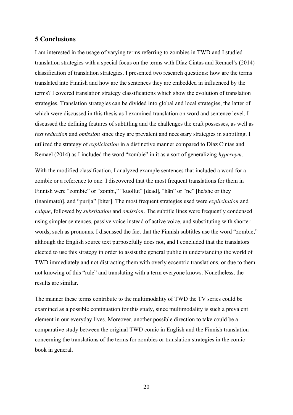## <span id="page-23-0"></span>**5 Conclusions**

I am interested in the usage of varying terms referring to zombies in TWD and I studied translation strategies with a special focus on the terms with Díaz Cintas and Remael's (2014) classification of translation strategies. I presented two research questions: how are the terms translated into Finnish and how are the sentences they are embedded in influenced by the terms? I covered translation strategy classifications which show the evolution of translation strategies. Translation strategies can be divided into global and local strategies, the latter of which were discussed in this thesis as I examined translation on word and sentence level. I discussed the defining features of subtitling and the challenges the craft possesses, as well as *text reduction* and *omission* since they are prevalent and necessary strategies in subtitling. I utilized the strategy of *explicitation* in a distinctive manner compared to Díaz Cintas and Remael (2014) as I included the word "zombie" in it as a sort of generalizing *hypernym*.

With the modified classification, I analyzed example sentences that included a word for a zombie or a reference to one. I discovered that the most frequent translations for them in Finnish were "zombie" or "zombi," "kuollut" [dead], "hän" or "ne" [he/she or they (inanimate)], and "purija" [biter]. The most frequent strategies used were *explicitation* and *calque*, followed by *substitution* and *omission*. The subtitle lines were frequently condensed using simpler sentences, passive voice instead of active voice, and substituting with shorter words, such as pronouns. I discussed the fact that the Finnish subtitles use the word "zombie," although the English source text purposefully does not, and I concluded that the translators elected to use this strategy in order to assist the general public in understanding the world of TWD immediately and not distracting them with overly eccentric translations, or due to them not knowing of this "rule" and translating with a term everyone knows. Nonetheless, the results are similar.

The manner these terms contribute to the multimodality of TWD the TV series could be examined as a possible continuation for this study, since multimodality is such a prevalent element in our everyday lives. Moreover, another possible direction to take could be a comparative study between the original TWD comic in English and the Finnish translation concerning the translations of the terms for zombies or translation strategies in the comic book in general.